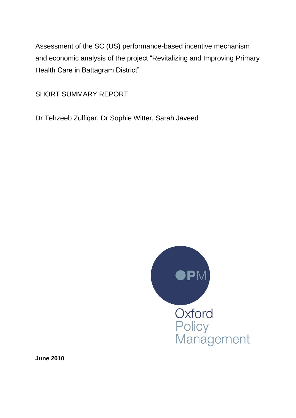Assessment of the SC (US) performance-based incentive mechanism and economic analysis of the project "Revitalizing and Improving Primary Health Care in Battagram District"

SHORT SUMMARY REPORT

Dr Tehzeeb Zulfiqar, Dr Sophie Witter, Sarah Javeed



**June 2010**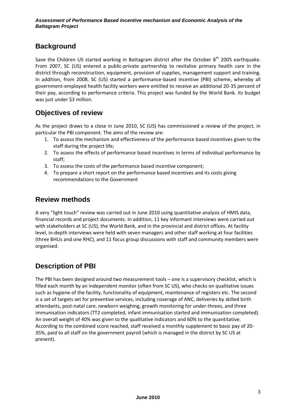## **Background**

Save the Children US started working in Battagram district after the October 8<sup>th</sup> 2005 earthquake. From 2007, SC (US) entered a public-private partnership to revitalise primary health care in the district through reconstruction, equipment, provision of supplies, management support and training. In addition, from 2008, SC (US) started a performance-based incentive (PBI) scheme, whereby all government-employed health facility workers were entitled to receive an additional 20-35 percent of their pay, according to performance criteria. This project was funded by the World Bank. Its budget was just under \$3 million.

## **Objectives of review**

As the project draws to a close in June 2010, SC (US) has commissioned a review of the project, in particular the PBI component. The aims of the review are:

- 1. To assess the mechanism and effectiveness of the performance based incentives given to the staff during the project life;
- 2. To assess the effects of performance based incentives in terms of individual performance by staff;
- 3. To assess the costs of the performance based incentive component;
- 4. To prepare a short report on the performance based incentives and its costs giving recommendations to the Government

### **Review methods**

A very "light touch" review was carried out in June 2010 using quantitative analysis of HMIS data, financial records and project documents. In addition, 11 key informant interviews were carried out with stakeholders at SC (US), the World Bank, and in the provincial and district offices. At facility level, in-depth interviews were held with seven managers and other staff working at four facilities (three BHUs and one RHC), and 11 focus group discussions with staff and community members were organised.

## **Description of PBI**

The PBI has been designed around two measurement tools – one is a supervisory checklist, which is filled each month by an independent monitor (often from SC US), who checks on qualitative issues such as hygiene of the facility, functionality of equipment, maintenance of registers etc. The second is a set of targets set for preventive services, including coverage of ANC, deliveries by skilled birth attendants, post-natal care, newborn weighing, growth monitoring for under-threes, and three immunisation indicators (TT2 completed, infant immunisation started and immunisation completed). An overall weight of 40% was given to the qualitative indicators and 60% to the quantitative. According to the combined score reached, staff received a monthly supplement to basic pay of 20- 35%, paid to all staff on the government payroll (which is managed in the district by SC US at present).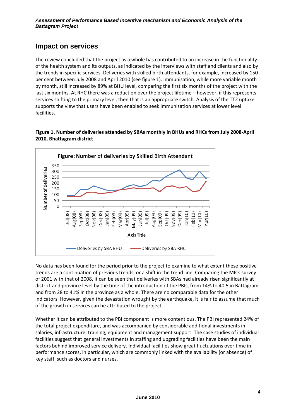#### **Impact on services**

The review concluded that the project as a whole has contributed to an increase in the functionality of the health system and its outputs, as indicated by the interviews with staff and clients and also by the trends in specific services. Deliveries with skilled birth attendants, for example, increased by 150 per cent between July 2008 and April 2010 (see figure 1). Immunisation, while more variable month by month, still increased by 89% at BHU level, comparing the first six months of the project with the last six months. At RHC there was a reduction over the project lifetime – however, if this represents services shifting to the primary level, then that is an appropriate switch. Analysis of the TT2 uptake supports the view that users have been enabled to seek immunisation services at lower level facilities.

#### **Figure 1. Number of deliveries attended by SBAs monthly in BHUs and RHCs from July 2008-April 2010, Bhattagram district**



No data has been found for the period prior to the project to examine to what extent these positive trends are a continuation of previous trends, or a shift in the trend line. Comparing the MICs survey of 2001 with that of 2008, it can be seen that deliveries with SBAs had already risen significantly at district and province level by the time of the introduction of the PBIs, from 14% to 40.5 in Battagram and from 28 to 41% in the province as a whole. There are no comparable data for the other indicators. However, given the devastation wrought by the earthquake, it is fair to assume that much of the growth in services can be attributed to the project.

Whether it can be attributed to the PBI component is more contentious. The PBI represented 24% of the total project expenditure, and was accompanied by considerable additional investments in salaries, infrastructure, training, equipment and management support. The case studies of individual facilities suggest that general investments in staffing and upgrading facilities have been the main factors behind improved service delivery. Individual facilities show great fluctuations over time in performance scores, in particular, which are commonly linked with the availability (or absence) of key staff, such as doctors and nurses.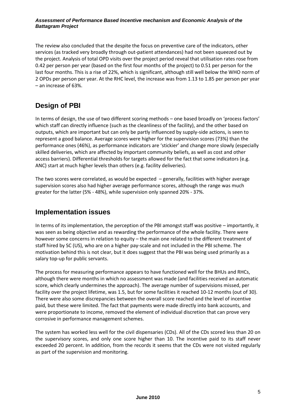#### *Assessment of Performance Based Incentive mechanism and Economic Analysis of the Battagram Project*

The review also concluded that the despite the focus on preventive care of the indicators, other services (as tracked very broadly through out-patient attendances) had not been squeezed out by the project. Analysis of total OPD visits over the project period reveal that utilisation rates rose from 0.42 per person per year (based on the first four months of the project) to 0.51 per person for the last four months. This is a rise of 22%, which is significant, although still well below the WHO norm of 2 OPDs per person per year. At the RHC level, the increase was from 1.13 to 1.85 per person per year – an increase of 63%.

# **Design of PBI**

In terms of design, the use of two different scoring methods – one based broadly on 'process factors' which staff can directly influence (such as the cleanliness of the facility), and the other based on outputs, which are important but can only be partly influenced by supply-side actions, is seen to represent a good balance. Average scores were higher for the supervision scores (73%) than the performance ones (46%), as performance indicators are 'stickier' and change more slowly (especially skilled deliveries, which are affected by important community beliefs, as well as cost and other access barriers). Differential thresholds for targets allowed for the fact that some indicators (e.g. ANC) start at much higher levels than others (e.g. facility deliveries).

The two scores were correlated, as would be expected – generally, facilities with higher average supervision scores also had higher average performance scores, although the range was much greater for the latter (5% - 48%), while supervision only spanned 20% - 37%.

#### **Implementation issues**

In terms of its implementation, the perception of the PBI amongst staff was positive – importantly, it was seen as being objective and as rewarding the performance of the whole facility. There were however some concerns in relation to equity – the main one related to the different treatment of staff hired by SC (US), who are on a higher pay-scale and not included in the PBI scheme. The motivation behind this is not clear, but it does suggest that the PBI was being used primarily as a salary top-up for public servants.

The process for measuring performance appears to have functioned well for the BHUs and RHCs, although there were months in which no assessment was made (and facilities received an automatic score, which clearly undermines the approach). The average number of supervisions missed, per facility over the project lifetime, was 1.5, but for some facilities it reached 10-12 months (out of 30). There were also some discrepancies between the overall score reached and the level of incentive paid, but these were limited. The fact that payments were made directly into bank accounts, and were proportionate to income, removed the element of individual discretion that can prove very corrosive in performance management schemes.

The system has worked less well for the civil dispensaries (CDs). All of the CDs scored less than 20 on the supervisory scores, and only one score higher than 10. The incentive paid to its staff never exceeded 20 percent. In addition, from the records it seems that the CDs were not visited regularly as part of the supervision and monitoring.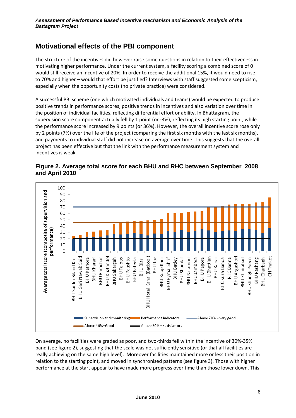## **Motivational effects of the PBI component**

The structure of the incentives did however raise some questions in relation to their effectiveness in motivating higher performance. Under the current system, a facility scoring a combined score of 0 would still receive an incentive of 20%. In order to receive the additional 15%, it would need to rise to 70% and higher – would that effort be justified? Interviews with staff suggested some scepticism, especially when the opportunity costs (no private practice) were considered.

A successful PBI scheme (one which motivated individuals and teams) would be expected to produce positive trends in performance scores, positive trends in incentives and also variation over time in the position of individual facilities, reflecting differential effort or ability. In Bhattagram, the supervision score component actually fell by 1 point (or -3%), reflecting its high starting point, while the performance score increased by 9 points (or 36%). However, the overall incentive score rose only by 2 points (7%) over the life of the project (comparing the first six months with the last six months), and payments to individual staff did not increase on average over time. This suggests that the overall project has been effective but that the link with the performance measurement system and incentives is weak.





On average, no facilities were graded as poor, and two-thirds fell within the incentive of 30%-35% band (see figure 2), suggesting that the scale was not sufficiently sensitive (or that all facilities are really achieving on the same high level). Moreover facilities maintained more or less their position in relation to the starting point, and moved in synchronised patterns (see figure 3). Those with higher performance at the start appear to have made more progress over time than those lower down. This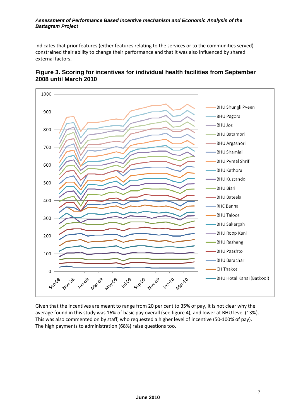#### *Assessment of Performance Based Incentive mechanism and Economic Analysis of the Battagram Project*

indicates that prior features (either features relating to the services or to the communities served) constrained their ability to change their performance and that it was also influenced by shared external factors.



#### **Figure 3. Scoring for incentives for individual health facilities from September 2008 until March 2010**

Given that the incentives are meant to range from 20 per cent to 35% of pay, it is not clear why the average found in this study was 16% of basic pay overall (see figure 4), and lower at BHU level (13%). This was also commented on by staff, who requested a higher level of incentive (50-100% of pay). The high payments to administration (68%) raise questions too.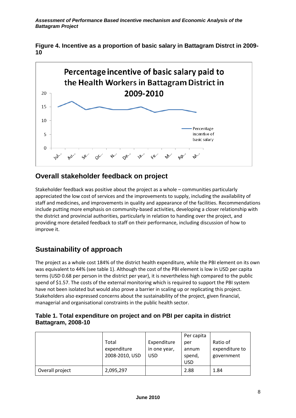**Figure 4. Incentive as a proportion of basic salary in Battagram Distrct in 2009- 10**



## **Overall stakeholder feedback on project**

Stakeholder feedback was positive about the project as a whole – communities particularly appreciated the low cost of services and the improvements to supply, including the availability of staff and medicines, and improvements in quality and appearance of the facilities. Recommendations include putting more emphasis on community-based activities, developing a closer relationship with the district and provincial authorities, particularly in relation to handing over the project, and providing more detailed feedback to staff on their performance, including discussion of how to improve it.

# **Sustainability of approach**

The project as a whole cost 184% of the district health expenditure, while the PBI element on its own was equivalent to 44% (see table 1). Although the cost of the PBI element is low in USD per capita terms (USD 0.68 per person in the district per year), it is nevertheless high compared to the public spend of \$1.57. The costs of the external monitoring which is required to support the PBI system have not been isolated but would also prove a barrier in scaling up or replicating this project. Stakeholders also expressed concerns about the sustainability of the project, given financial, managerial and organisational constraints in the public health sector.

#### **Table 1. Total expenditure on project and on PBI per capita in district Battagram, 2008-10**

|                 |                |              | Per capita |                |
|-----------------|----------------|--------------|------------|----------------|
|                 | Total          | Expenditure  | per        | Ratio of       |
|                 | expenditure    | in one year, | annum      | expenditure to |
|                 | 2008-2010, USD | <b>USD</b>   | spend,     | government     |
|                 |                |              | <b>USD</b> |                |
| Overall project | 2,095,297      |              | 2.88       | 1.84           |